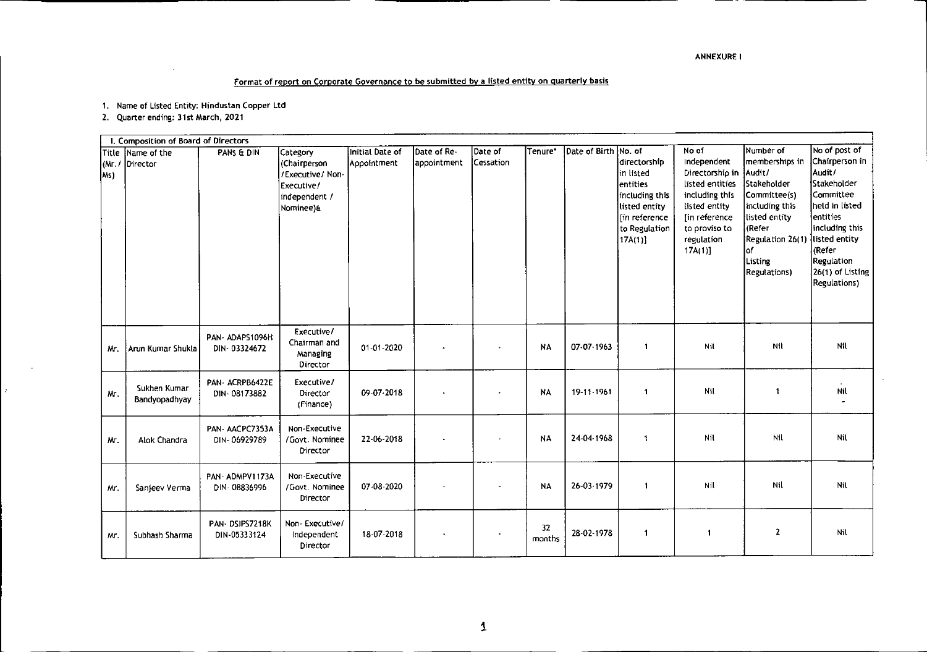## Format of report on Corporate Governance to be submitted by a listed entity on quarterly basis

1. Name of Listed Entity: Hindustan Copper Ltd

2. Quarter ending: 31st March, 2021

|                | I. Composition of Board of Directors |                                  |                                                                                          |                                       |                                           |                      |              |                      |                                                                                                                          |                                                                                                                                                                    |                                                                                                                                                              |                                                                                                                                                                                                                          |
|----------------|--------------------------------------|----------------------------------|------------------------------------------------------------------------------------------|---------------------------------------|-------------------------------------------|----------------------|--------------|----------------------|--------------------------------------------------------------------------------------------------------------------------|--------------------------------------------------------------------------------------------------------------------------------------------------------------------|--------------------------------------------------------------------------------------------------------------------------------------------------------------|--------------------------------------------------------------------------------------------------------------------------------------------------------------------------------------------------------------------------|
| (Mr, I)<br>Ms) | Title Name of the<br>Director        | PANS & DIN                       | Category<br>(Chairperson<br>/Executive/ Non-<br>Executive/<br>independent /<br>Nominee)& | Initial Date of<br><b>Appointment</b> | $\sf D$ ate of Re $\cdot$<br> appointment | Date of<br>Cessation | Tenure*      | Date of Birth No. of | ldirectorship<br>in listed<br>lentities<br>including this<br>listed entity<br>lin reference<br>to Regulation<br>[17A(1)] | No of<br>Independent<br>Directorship in Audit/<br>listed entities<br>including this<br>listed entity<br>fin reference<br>to proviso to<br>regulation<br>$17A(1)$ ] | Number of<br>memberships in<br>Stakeholder<br>Committee(s)<br>including this<br>listed entity<br>(Refer<br>Regulation 26(1)<br>٥f<br>Listing<br>Regulations) | No of post of<br>Chairperson in<br>Audit/<br>Stakeholder<br><b>Committee</b><br>held in listed<br>entities<br>including this<br>listed entity<br>(Refer<br><b>Regulation</b><br>26(1) of Listing<br><b>Regulations</b> ) |
| Mr.            | Arun Kumar Shukla                    | PAN-ADAPS1096H<br>DIN-03324672   | Executive/<br>Chairman and<br>Managing<br>Director                                       | 01-01-2020                            |                                           |                      | <b>NA</b>    | 07-07-1963           | $\mathbf{1}$                                                                                                             | Nil                                                                                                                                                                | Nil                                                                                                                                                          | Nil                                                                                                                                                                                                                      |
| Mr.            | Sukhen Kumar<br>Bandyopadhyay        | PAN - ACRPB6422E<br>DIN-08173882 | Executive/<br>Director<br>(Finance)                                                      | 09-07-2018                            |                                           |                      | <b>NA</b>    | 19-11-1961           | $\mathbf{1}$                                                                                                             | Nil                                                                                                                                                                | 1                                                                                                                                                            | Nil<br>$\overline{a}$                                                                                                                                                                                                    |
| Mr.            | Alok Chandra                         | PAN-AACPC7353A<br>DIN-06929789   | Non-Executive<br>/Govt. Nominee<br>Director                                              | 22-06-2018                            |                                           |                      | <b>NA</b>    | 24-04-1968           | $\ddot{\mathbf{t}}$                                                                                                      | Nil                                                                                                                                                                | Nil                                                                                                                                                          | Nil                                                                                                                                                                                                                      |
| Mr.            | Sanjeev Verma                        | PAN-ADMPV1173A<br>DIN - 08836996 | Non-Executive<br>/Govt. Nominee<br>Director                                              | 07 08 2020                            |                                           |                      | <b>NA</b>    | 26-03-1979           | $\mathbf{1}$                                                                                                             | Nil                                                                                                                                                                | <b>Nil</b>                                                                                                                                                   | Nil                                                                                                                                                                                                                      |
| Mr.            | Subhash Sharma                       | PAN-DSIPS7218K<br>DIN-05333124   | Non Executive/<br>Independent<br>Director                                                | 18 07 2018                            |                                           |                      | 32<br>months | 28-02-1978           | $\mathbf{1}$                                                                                                             | -1                                                                                                                                                                 | 2                                                                                                                                                            | Nil                                                                                                                                                                                                                      |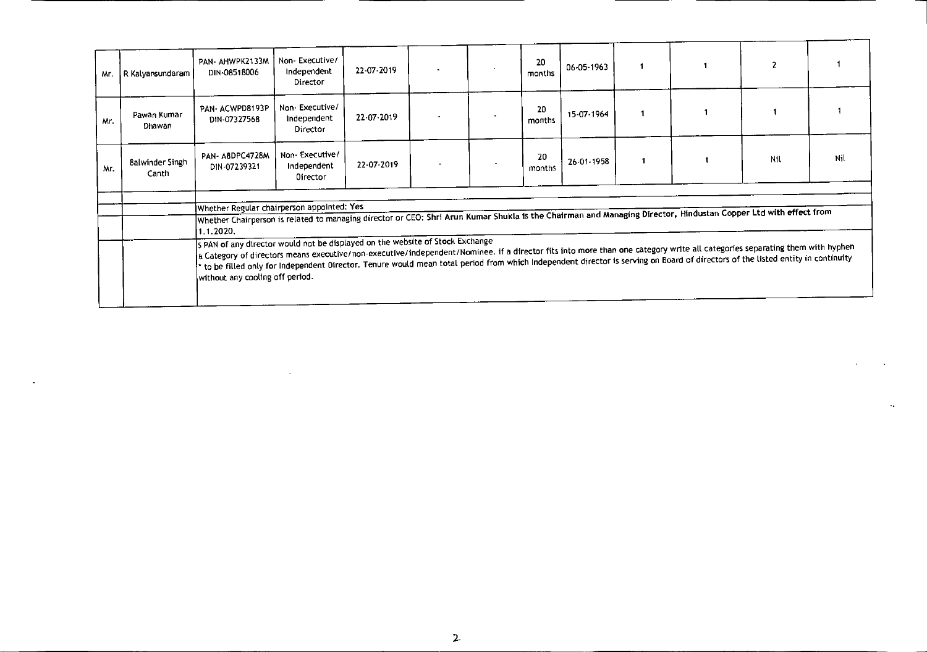| Mr. | R Kalyansundaram                | PAN- AHWPK2133M<br>DIN-08518006                                                                                                                                                                                                                                                                                                                                                                                                                                                                                                                                                                                                                                                                                  | Non-Executive/<br>Independent<br>Director        | 22-07-2019 |  |  | 20<br>months | 06-05-1963 | 1 |  | $\overline{\phantom{a}}$ |    |
|-----|---------------------------------|------------------------------------------------------------------------------------------------------------------------------------------------------------------------------------------------------------------------------------------------------------------------------------------------------------------------------------------------------------------------------------------------------------------------------------------------------------------------------------------------------------------------------------------------------------------------------------------------------------------------------------------------------------------------------------------------------------------|--------------------------------------------------|------------|--|--|--------------|------------|---|--|--------------------------|----|
| Mr. | Pawan Kumar<br>Dhawan           | PAN-ACWPD8193P<br>DIN-07327568                                                                                                                                                                                                                                                                                                                                                                                                                                                                                                                                                                                                                                                                                   | Non-Executive/<br>Independent<br>Director        | 22 07 2019 |  |  | 20<br>months | 15-07-1964 |   |  |                          |    |
| Mr. | <b>8alwinder Singh</b><br>Canth | PAN-A8DPC4728M<br>DIN-07239321                                                                                                                                                                                                                                                                                                                                                                                                                                                                                                                                                                                                                                                                                   | Non-Executive/<br>Independent<br><b>Oirector</b> | 22 07 2019 |  |  | 20<br>months | 26-01-1958 |   |  | Nil                      | NI |
|     |                                 | Whether Regular chairperson appointed: Yes<br>Whether Chairperson is related to managing director or CEO: Shri Arun Kumar Shukla is the Chairman and Managing Director, Hindustan Copper Ltd with effect from<br>1.1.2020,<br>s PAN of any director would not be displayed on the website of Stock Exchange<br>a Category of directors means executive/non-executive/independent/Nominee. if a director fits into more than one category write all categories separating them with hyphen<br>* to be filled only for Independent Oirector. Tenure would mean total period from which Independent director is serving on Board of directors of the listed entity in continuity<br>without any cooling off period. |                                                  |            |  |  |              |            |   |  |                          |    |
|     |                                 |                                                                                                                                                                                                                                                                                                                                                                                                                                                                                                                                                                                                                                                                                                                  |                                                  |            |  |  |              |            |   |  |                          |    |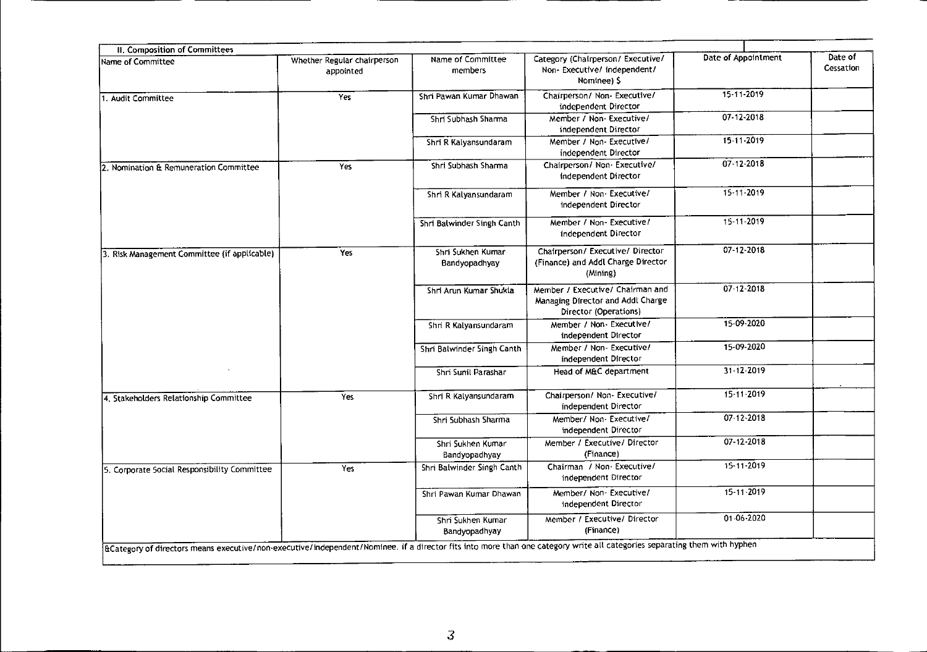| II. Composition of Committees                                                                                                                                              |                                          |                                    |                                                                                                |                     |                      |
|----------------------------------------------------------------------------------------------------------------------------------------------------------------------------|------------------------------------------|------------------------------------|------------------------------------------------------------------------------------------------|---------------------|----------------------|
| Name of Committee                                                                                                                                                          | Whether Regular chairperson<br>appointed | Name of Committee<br>members       | Category (Chairperson/ Executive/<br>Non-Executive/independent/<br>Nominee) 5                  | Date of Appointment | Date of<br>Cessation |
| 1. Audit Committee                                                                                                                                                         | Yes                                      | Shri Pawan Kumar Dhawan            | Chairperson/ Non- Executive/<br>independent Director                                           | 15-11-2019          |                      |
|                                                                                                                                                                            |                                          | Shri Subhash Sharma                | Member / Non- Executive/<br>independent Director                                               | 07-12-2018          |                      |
|                                                                                                                                                                            |                                          | Shri R Kalyansundaram              | Member / Non- Executive/<br>independent Director                                               | 15-11-2019          |                      |
| 2. Nomination & Remuneration Committee                                                                                                                                     | <b>Yes</b>                               | Shri Subhash Sharma                | Chairperson/ Non- Executive/<br>independent Director                                           | 07-12-2018          |                      |
|                                                                                                                                                                            |                                          | Shri R Kalyansundaram              | Member / Non-Executive/<br>independent Director                                                | 15-11-2019          |                      |
|                                                                                                                                                                            |                                          | Shri Balwinder Singh Canth         | Member / Non- Executive/<br>independent Director                                               | 15-11-2019          |                      |
| 3. Risk Management Committee (if applicable)                                                                                                                               | Yes                                      | Shri Sukhen Kumar<br>Bandyopadhyay | Chairperson/ Executive/ Director<br>(Finance) and Addl Charge Director<br>(Mining)             | 07-12-2018          |                      |
|                                                                                                                                                                            |                                          | Shri Arun Kumar Shukla             | Member / Executive/ Chairman and<br>Managing Director and Addl Charge<br>Director (Operations) | 07-12-2018          |                      |
|                                                                                                                                                                            |                                          | Shri R Kalyansundaram              | Member / Non- Executive/<br>independent Director                                               | 15-09-2020          |                      |
|                                                                                                                                                                            |                                          | Shri Balwinder Singh Canth         | Member / Non- Executive/<br>independent Director                                               | 15-09-2020          |                      |
|                                                                                                                                                                            |                                          | Shri Sunil Parashar                | Head of M&C department                                                                         | $31 - 12 - 2019$    |                      |
| 4. Stakeholders Relationship Committee                                                                                                                                     | Yes                                      | Shri R Kalyansundaram              | Chairperson/ Non- Executive/<br>independent Director                                           | 15-11-2019          |                      |
|                                                                                                                                                                            |                                          | Shri Subhash Sharma                | Member/ Non-Executive/<br>independent Director                                                 | 07 12 2018          |                      |
|                                                                                                                                                                            |                                          | Shri Sukhen Kumar<br>Bandyopadhyay | Member / Executive/ Director<br>(Finance)                                                      | 07-12-2018          |                      |
| 5. Corporate Social Responsibility Committee                                                                                                                               | Yes                                      | Shri Balwinder Singh Canth         | Chairman / Non Executive/<br>independent Director                                              | 15-11-2019          |                      |
|                                                                                                                                                                            |                                          | Shri Pawan Kumar Dhawan            | Member/ Non- Executive/<br>independent Director                                                | 15-11-2019          |                      |
|                                                                                                                                                                            |                                          | Shri Sukhen Kumar<br>Bandyopadhyay | Member / Executive/ Director<br>(Finance)                                                      | 01-06-2020          |                      |
| a Category of directors means executive/non-executive/independent/Nominee. if a director fits into more than one category write all categories separating them with hyphen |                                          |                                    |                                                                                                |                     |                      |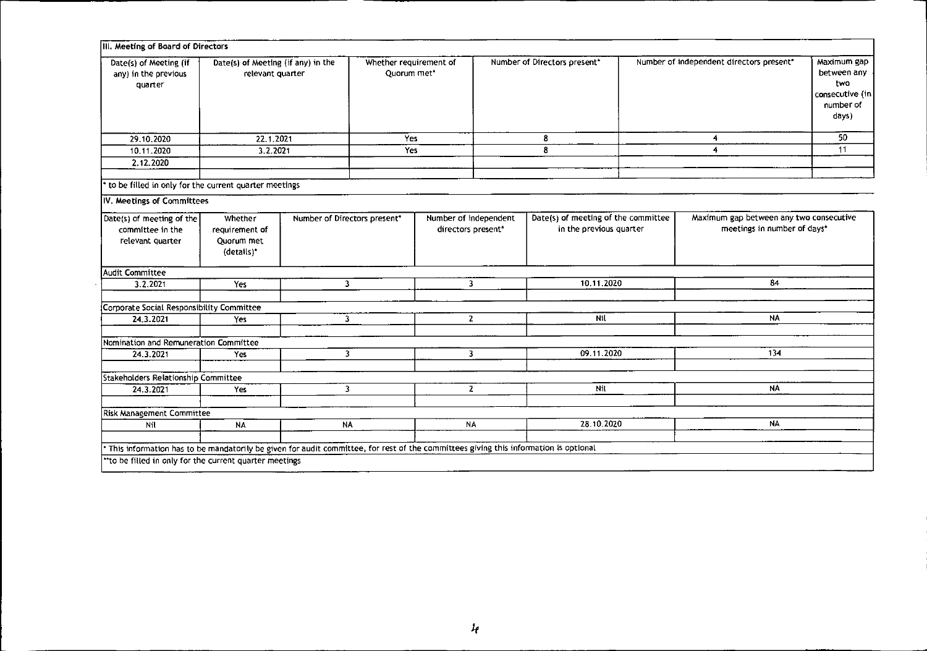| Date(s) of Meeting (if<br>Date(s) of Meeting (if any) in the<br>any) in the previous<br>relevant quarter<br>quarter |                                                                                                                                     |                              | Quorum met* | Number of Directors present*<br>Whether requirement of |                              | Number of independent directors present"                       |     | Maximum gap<br>between any<br>two<br>consecutive (in<br>number of<br>days) |    |
|---------------------------------------------------------------------------------------------------------------------|-------------------------------------------------------------------------------------------------------------------------------------|------------------------------|-------------|--------------------------------------------------------|------------------------------|----------------------------------------------------------------|-----|----------------------------------------------------------------------------|----|
| 29.10.2020                                                                                                          | 22.1.2021                                                                                                                           |                              | Yes         |                                                        |                              | 8                                                              | 4   |                                                                            | 50 |
| 10.11.2020                                                                                                          | 3.2.2021                                                                                                                            |                              |             | Yes                                                    |                              | 8                                                              | 4   |                                                                            | 11 |
| 2.12.2020                                                                                                           |                                                                                                                                     |                              |             |                                                        |                              |                                                                |     |                                                                            |    |
| to be filled in only for the current quarter meetings                                                               |                                                                                                                                     |                              |             |                                                        |                              |                                                                |     |                                                                            |    |
| IV. Meetings of Committees                                                                                          |                                                                                                                                     |                              |             |                                                        |                              |                                                                |     |                                                                            |    |
| Date(s) of meeting of the<br>committee in the<br>relevant quarter                                                   | Whether<br>requirement of<br>Quorum met<br>(details)*                                                                               | Number of Directors present" |             | Number of independent<br>directors present*            |                              | Date(s) of meeting of the committee<br>in the previous quarter |     | Maximum gap between any two consecutive<br>meetings in number of days*     |    |
| Audit Committee                                                                                                     |                                                                                                                                     |                              |             |                                                        |                              |                                                                |     |                                                                            |    |
| 3.2.2021                                                                                                            | Yes                                                                                                                                 | $\overline{\mathbf{3}}$      |             | 3                                                      |                              | 10.11.2020                                                     |     | 84                                                                         |    |
| Corporate Social Responsibility Committee                                                                           |                                                                                                                                     |                              |             |                                                        |                              |                                                                |     |                                                                            |    |
| 24.3.2021                                                                                                           | Yes                                                                                                                                 | 3                            |             | Nil<br>$\overline{2}$                                  |                              | <b>NA</b>                                                      |     |                                                                            |    |
| Nomination and Remuneration Committee                                                                               |                                                                                                                                     |                              |             |                                                        |                              |                                                                |     |                                                                            |    |
| 24.3.2021                                                                                                           | Yes                                                                                                                                 | $\overline{3}$               |             |                                                        | 09.11.2020<br>$\overline{3}$ |                                                                | 134 |                                                                            |    |
| Stakeholders Relationship Committee                                                                                 |                                                                                                                                     |                              |             |                                                        |                              |                                                                |     |                                                                            |    |
| 24.3.2021                                                                                                           | Yes                                                                                                                                 | $\mathbf{3}$                 |             | $\mathbf{2}$                                           |                              | Nil                                                            |     | <b>NA</b>                                                                  |    |
| Risk Management Committee                                                                                           |                                                                                                                                     |                              |             |                                                        |                              |                                                                |     |                                                                            |    |
| Nil                                                                                                                 | <b>NA</b>                                                                                                                           | <b>NA</b>                    |             | <b>NA</b>                                              |                              | 28.10.2020                                                     |     | <b>NA</b>                                                                  |    |
|                                                                                                                     | This information has to be mandatorily be given for audit committee, for rest of the committees giving this information is optional |                              |             |                                                        |                              |                                                                |     |                                                                            |    |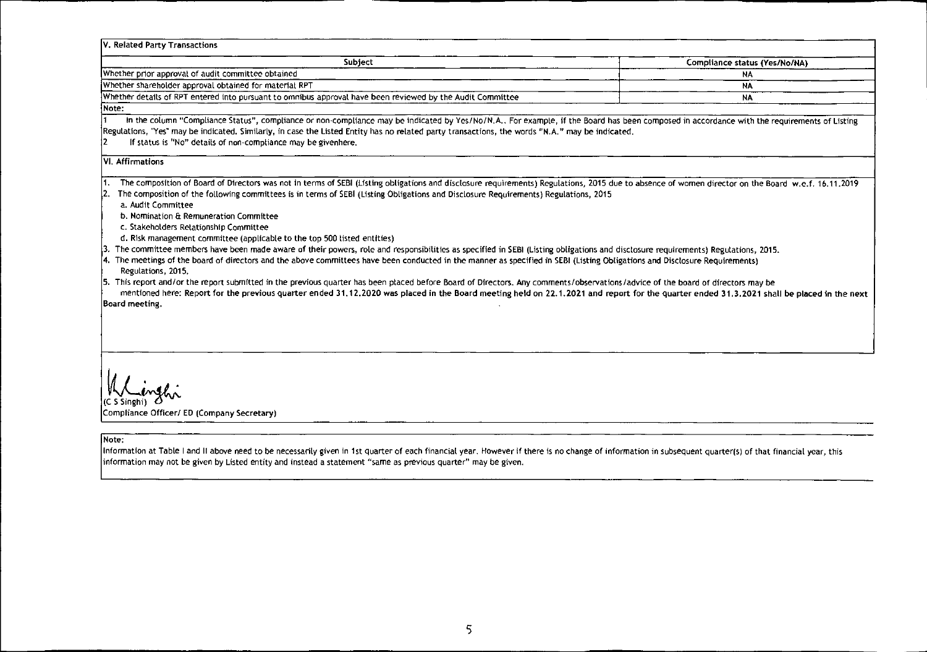| V. Related Party Transactions                                                                                                                                                                                                                                                                                                                                                                                                                                                                                                                                                                                                                                                                                                                                                                                                                                                                                                                                                                                                                                                                                                                                                                                                                                                                                                    |                               |  |  |
|----------------------------------------------------------------------------------------------------------------------------------------------------------------------------------------------------------------------------------------------------------------------------------------------------------------------------------------------------------------------------------------------------------------------------------------------------------------------------------------------------------------------------------------------------------------------------------------------------------------------------------------------------------------------------------------------------------------------------------------------------------------------------------------------------------------------------------------------------------------------------------------------------------------------------------------------------------------------------------------------------------------------------------------------------------------------------------------------------------------------------------------------------------------------------------------------------------------------------------------------------------------------------------------------------------------------------------|-------------------------------|--|--|
| Subject                                                                                                                                                                                                                                                                                                                                                                                                                                                                                                                                                                                                                                                                                                                                                                                                                                                                                                                                                                                                                                                                                                                                                                                                                                                                                                                          | Compliance status (Yes/No/NA) |  |  |
| Whether prior approval of audit committee obtained                                                                                                                                                                                                                                                                                                                                                                                                                                                                                                                                                                                                                                                                                                                                                                                                                                                                                                                                                                                                                                                                                                                                                                                                                                                                               | NA.                           |  |  |
| Whether shareholder approval obtained for material RPT                                                                                                                                                                                                                                                                                                                                                                                                                                                                                                                                                                                                                                                                                                                                                                                                                                                                                                                                                                                                                                                                                                                                                                                                                                                                           | NA                            |  |  |
| Whether details of RPT entered into pursuant to omnibus approval have been reviewed by the Audit Committee                                                                                                                                                                                                                                                                                                                                                                                                                                                                                                                                                                                                                                                                                                                                                                                                                                                                                                                                                                                                                                                                                                                                                                                                                       | <b>NA</b>                     |  |  |
| Mote:                                                                                                                                                                                                                                                                                                                                                                                                                                                                                                                                                                                                                                                                                                                                                                                                                                                                                                                                                                                                                                                                                                                                                                                                                                                                                                                            |                               |  |  |
| In the column "Compliance Status", compliance or non-compliance may be indicated by Yes/No/N.A For example, if the Board has been composed in accordance with the requirements of Listing<br>Regulations, "Yes" may be indicated. Similarly, in case the Listed Entity has no related party transactions, the words "N.A." may be indicated.<br>If status is "No" details of non-compliance may be givenhere.                                                                                                                                                                                                                                                                                                                                                                                                                                                                                                                                                                                                                                                                                                                                                                                                                                                                                                                    |                               |  |  |
| VI. Affirmations                                                                                                                                                                                                                                                                                                                                                                                                                                                                                                                                                                                                                                                                                                                                                                                                                                                                                                                                                                                                                                                                                                                                                                                                                                                                                                                 |                               |  |  |
| The composition of Board of Directors was not in terms of SEBI (Listing obligations and disclosure requirements) Regulations, 2015 due to absence of women director on the Board w.e.f. 16.11.2019<br>The composition of the following committees is in terms of SEBI (Listing Obligations and Disclosure Requirements) Regulations, 2015<br>l2.<br>a. Audit Committee<br>b. Nomination & Remuneration Committee<br>c. Stakeholders Relationship Committee<br>d. Risk management committee (applicable to the top 500 listed entities)<br>The committee members have been made aware of their powers, role and responsibilities as specified in SEBI (Listing obligations and disclosure requirements) Regulations, 2015.<br>4. The meetings of the board of directors and the above committees have been conducted in the manner as specified in SEBI (Listing Obligations and Disclosure Requirements)<br>Regulations, 2015.<br>5. This report and/or the report submitted in the previous quarter has been placed before Board of Directors. Any comments/observations/advice of the board of directors may be<br>mentioned here: Report for the previous quarter ended 31.12.2020 was placed in the Board meeting held on 22.1.2021 and report for the quarter ended 31.3.2021 shall be placed in the next<br>Board meeting, |                               |  |  |
| Compliance Officer/ ED (Company Secretary)<br>Mote:<br>Information at Table I and II above need to be necessarily given in 1st quarter of each financial year. However if there is no change of information in subsequent quarter(s) of that financial year, this<br>information may not be given by Listed entity and instead a statement "same as previous quarter" may be given.                                                                                                                                                                                                                                                                                                                                                                                                                                                                                                                                                                                                                                                                                                                                                                                                                                                                                                                                              |                               |  |  |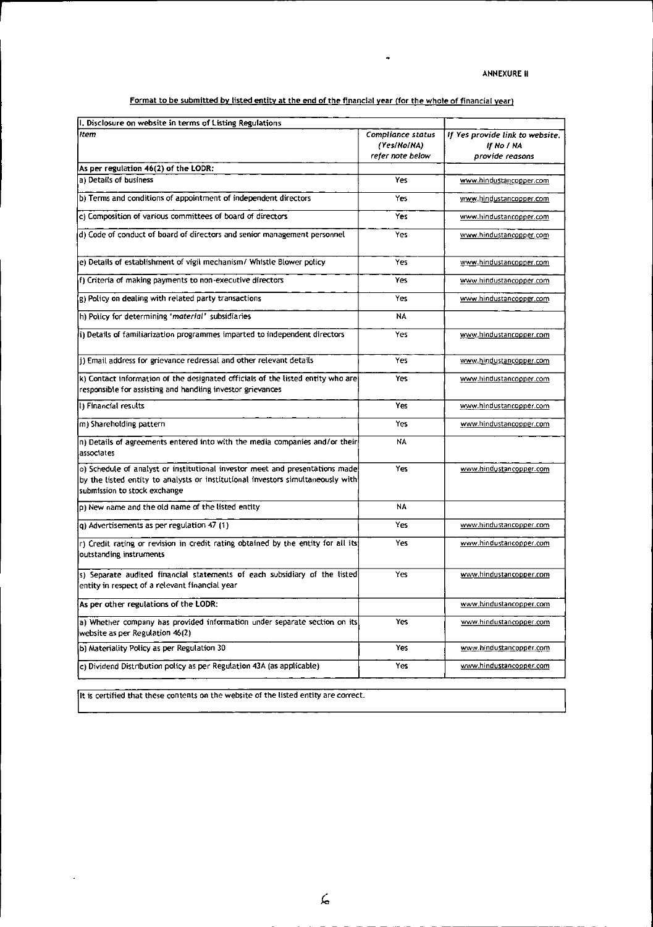Format to be submitted by listed entity at the end of the financial year (for the whole of financial year)

 $\bullet$ 

| I. Disclosure on website in terms of Listing Regulations                                                                                                                                        |                                                      |                                                                  |
|-------------------------------------------------------------------------------------------------------------------------------------------------------------------------------------------------|------------------------------------------------------|------------------------------------------------------------------|
| Item                                                                                                                                                                                            | Compliance status<br>(Yes/No/NA)<br>refer note below | If Yes provide link to website.<br>If No / NA<br>provide reasons |
| As per regulation 46(2) of the LODR:                                                                                                                                                            |                                                      |                                                                  |
| a) Details of business                                                                                                                                                                          | Yes                                                  | www.hindustancopper.com                                          |
| b) Terms and conditions of appointment of independent directors                                                                                                                                 | Yes                                                  | www.hindustancopper.com                                          |
| c) Composition of various committees of board of directors                                                                                                                                      | Yes                                                  | www.hindustancopper.com                                          |
| d) Code of conduct of board of directors and senior management personnel                                                                                                                        | Yes                                                  | www.hindustancopper.com                                          |
| e) Details of establishment of vigil mechanism/ Whistle Blower policy                                                                                                                           | Yes                                                  | www.hindustancopper.com                                          |
| f) Criteria of making payments to non-executive directors                                                                                                                                       | Yes                                                  | www.hindustancopper.com                                          |
| g) Policy on dealing with related party transactions                                                                                                                                            | Yes                                                  | www.hindustancopper.com                                          |
| h) Policy for determining 'material' subsidiaries                                                                                                                                               | NA                                                   |                                                                  |
| Ii) Details of familiarization programmes imparted to independent directors                                                                                                                     | Yes                                                  | www.hindustancopper.com                                          |
| 1) Email address for grievance redressal and other relevant details                                                                                                                             | Yes                                                  | www.hindustancopper.com                                          |
| (k) Contact information of the designated officials of the listed entity who are<br>responsible for assisting and handling investor grievances                                                  | Yes                                                  | www.hindustancopper.com                                          |
| (1) Financial results                                                                                                                                                                           | Yes                                                  | www.hindustancopper.com                                          |
| m) Shareholding pattern                                                                                                                                                                         | Yes                                                  | www.hindustancopper.com                                          |
| n) Details of agreements entered into with the media companies and/or their<br>associates                                                                                                       | NA                                                   |                                                                  |
| o) Schedule of analyst or institutional investor meet and presentations made<br>by the listed entity to analysts or institutional investors simultaneously with<br>submission to stock exchange | Yes                                                  | www.hindustancopper.com                                          |
| p) New name and the old name of the listed entity                                                                                                                                               | <b>NA</b>                                            |                                                                  |
| q) Advertisements as per regulation 47 (1)                                                                                                                                                      | Yes                                                  | www.hindustancopper.com                                          |
| r) Credit rating or revision in credit rating obtained by the entity for all its<br>outstanding instruments                                                                                     | Yes                                                  | www.hindustancopper.com                                          |
| s) Separate audited financial statements of each subsidiary of the listed<br>entity in respect of a relevant financial year                                                                     | Yes                                                  | www.hindustancopper.com                                          |
| As per other regulations of the LODR:                                                                                                                                                           |                                                      | <u>www.hindustancopper.com</u>                                   |
| a) Whether company has provided information under separate section on its<br>website as per Regulation 46(2)                                                                                    | Yes                                                  | www.hindustancopper.com                                          |
| b) Materiality Policy as per Regulation 30                                                                                                                                                      | Yes                                                  | www.hindustancopper.com                                          |
| c) Dividend Distribution policy as per Regulation 43A (as applicable)                                                                                                                           | Yes                                                  | www.hindustancopper.com                                          |
|                                                                                                                                                                                                 |                                                      |                                                                  |

It is certified that these contents on the website of the listed entity are correct.

 $\ddot{\phantom{a}}$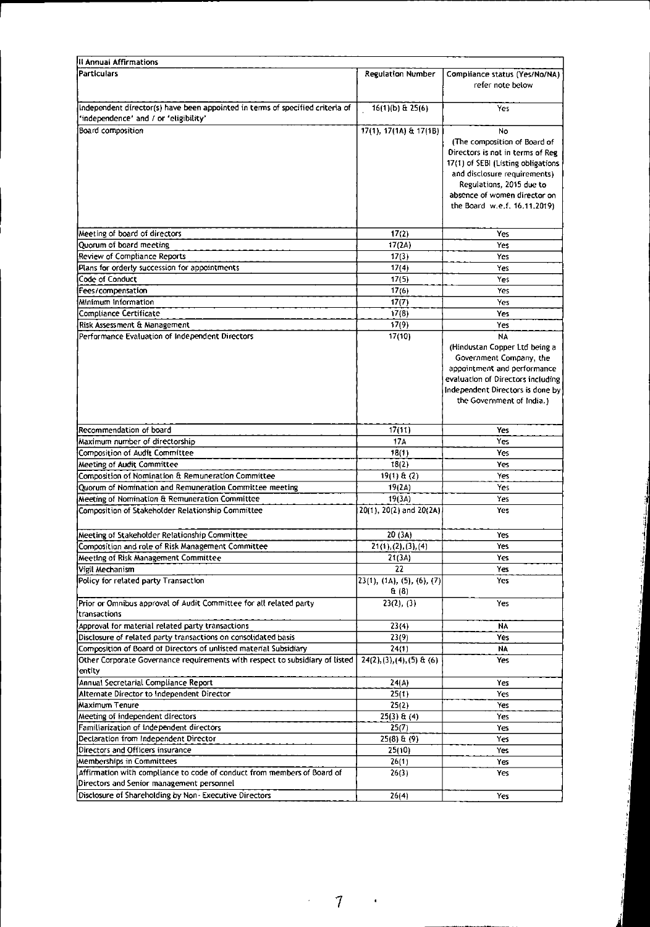| II Annual Affirmations                                                                                                 |                                      |                                                                                                                                                                                                                                           |
|------------------------------------------------------------------------------------------------------------------------|--------------------------------------|-------------------------------------------------------------------------------------------------------------------------------------------------------------------------------------------------------------------------------------------|
| <b>Particulars</b>                                                                                                     | <b>Regulation Number</b>             | Compliance status (Yes/No/NA)<br>refer note below                                                                                                                                                                                         |
| Independent director(s) have been appointed in terms of specified criteria of<br>'independence' and / or 'eligibility' | 16(1)(b) & 25(6)                     | Yes                                                                                                                                                                                                                                       |
| Board composition                                                                                                      | 17(1), 17(1A) & 17(1B)               | No<br>(The composition of Board of<br>Directors is not in terms of Reg.<br>17(1) of SEBI (Listing obligations<br>and disclosure requirements)<br>Regulations, 2015 due to<br>absence of women director on<br>the Board w.e.f. 16.11.2019) |
| Meeting of board of directors                                                                                          | 17(2)                                | Yes                                                                                                                                                                                                                                       |
| Quorum of board meeting                                                                                                | 17(2A)                               | Yes                                                                                                                                                                                                                                       |
| Review of Compliance Reports                                                                                           | 17(3)                                | Yes                                                                                                                                                                                                                                       |
| Plans for orderly succession for appointments                                                                          | 17(4)                                | Yes                                                                                                                                                                                                                                       |
| Code of Conduct                                                                                                        | 17(5)                                | Yes                                                                                                                                                                                                                                       |
| Fees/compensation                                                                                                      | 17(6)                                | Yes                                                                                                                                                                                                                                       |
| Minimum Information                                                                                                    | 17(7)                                | Yes                                                                                                                                                                                                                                       |
| Compliance Certificate                                                                                                 | 17(8)                                | Yes                                                                                                                                                                                                                                       |
| Risk Assessment & Management                                                                                           | 17(9)                                | Yes                                                                                                                                                                                                                                       |
| Performance Evaluation of Independent Directors                                                                        | 17(10)                               | NΑ                                                                                                                                                                                                                                        |
|                                                                                                                        |                                      | (Hindustan Copper Ltd being a<br>Government Company, the<br>appointment and performance<br>evaluation of Directors including<br>Independent Directors is done by<br>the Government of India.)                                             |
| Recommendation of board                                                                                                | 17(11)                               | Yes                                                                                                                                                                                                                                       |
| Maximum number of directorship                                                                                         | 174                                  | Yes                                                                                                                                                                                                                                       |
| Composition of Audit Committee                                                                                         | 18(1)                                | Yes                                                                                                                                                                                                                                       |
| Meeting of Audit Committee                                                                                             | 18(2)                                | Yes                                                                                                                                                                                                                                       |
| Composition of Nomination & Remuneration Committee                                                                     | $19(1)$ $\theta$ (2)                 | Yes.                                                                                                                                                                                                                                      |
| Quorum of Nomination and Remuneration Committee meeting                                                                | 19(2A)                               | Yes                                                                                                                                                                                                                                       |
| Meeting of Nomination & Remuneration Committee                                                                         | 19(3A)                               | Yes                                                                                                                                                                                                                                       |
| Composition of Stakeholder Relationship Committee                                                                      | 20(1), 20(2) and 20(2A)              | Yes                                                                                                                                                                                                                                       |
| Meeting of Stakeholder Relationship Committee                                                                          | 20 (3A)                              | Yes                                                                                                                                                                                                                                       |
| Composition and role of Risk Management Committee                                                                      | 21(1), (2), (3), (4)                 | res                                                                                                                                                                                                                                       |
| Meeting of Risk Management Committee                                                                                   | 21 (3A)                              | Yes                                                                                                                                                                                                                                       |
| Vigil Mechanism                                                                                                        | 22                                   | Yes                                                                                                                                                                                                                                       |
| Policy for related party Transaction                                                                                   | (23(1), (1A), (5), (6), (7)<br>& (8) | Yes                                                                                                                                                                                                                                       |
| Prior or Omnibus approval of Audit Committee for all related party<br>transactions                                     | 23(2), (3)                           | Yes                                                                                                                                                                                                                                       |
| Approval for material related party transactions                                                                       | 23(4)                                | NA                                                                                                                                                                                                                                        |
| Disclosure of related party transactions on consolidated basis                                                         | 23(9)                                | Yes                                                                                                                                                                                                                                       |
| Composition of Board of Directors of unlisted material Subsidiary                                                      | 24(1)                                | NA                                                                                                                                                                                                                                        |
| Other Corporate Governance requirements with respect to subsidiary of listed<br>entity                                 | $24(2), (3), (4), (5)$ & (6)         | Yes                                                                                                                                                                                                                                       |
| Annual Secretarial Compliance Report                                                                                   | 24(A)                                | Yes                                                                                                                                                                                                                                       |
| Alternate Director to Independent Director                                                                             | 25(1)                                | Yes                                                                                                                                                                                                                                       |
| Maximum Tenure                                                                                                         | 25(2)                                | Yes                                                                                                                                                                                                                                       |
| Meeting of independent directors                                                                                       | $25(3)$ & (4)                        | Yes                                                                                                                                                                                                                                       |
| Familiarization of independent directors                                                                               | 25(7)                                | Yes                                                                                                                                                                                                                                       |
| Declaration from Independent Director                                                                                  | $25(8)$ & $(9)$                      | Yes                                                                                                                                                                                                                                       |
| Directors and Officers insurance                                                                                       | 25(10)                               | Yes                                                                                                                                                                                                                                       |
| Memberships in Committees                                                                                              | 26(1)                                | Yes                                                                                                                                                                                                                                       |
| Affirmation with compliance to code of conduct from members of Board of<br>Directors and Senior management personnel   | 26(3)                                | Yes                                                                                                                                                                                                                                       |
| Disclosure of Shareholding by Non - Executive Directors                                                                | 26(4)                                | Yes                                                                                                                                                                                                                                       |

7  $\mathcal{L} \in \mathcal{L}(\mathcal{A})$ 

 $\epsilon$